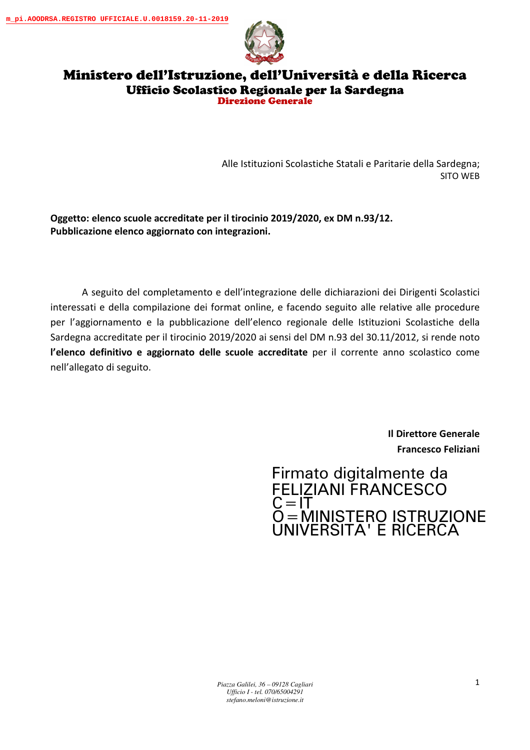

## Ministero dell'Istruzione, dell'Università e della Ricerca Ufficio Scolastico Regionale per la Sardegna Direzione Generale

Alle Istituzioni Scolastiche Statali e Paritarie della Sardegna; SITO WEB

**Oggetto: elenco scuole accreditate per il tirocinio 2019/2020, ex DM n.93/12. Pubblicazione elenco aggiornato con integrazioni.** 

A seguito del completamento e dell'integrazione delle dichiarazioni dei Dirigenti Scolastici interessati e della compilazione dei format online, e facendo seguito alle relative alle procedure per l'aggiornamento e la pubblicazione dell'elenco regionale delle Istituzioni Scolastiche della Sardegna accreditate per il tirocinio 2019/2020 ai sensi del DM n.93 del 30.11/2012, si rende noto **l'elenco definitivo e aggiornato delle scuole accreditate** per il corrente anno scolastico come nell'allegato di seguito.

> **Il Direttore Generale Francesco Feliziani**

## Firmato digitalmente da FELIZIANI FRANCESCO  $\zeta = I\bar{T}$ O=MINISTERO ISTRUZIONE UNIVERSITA' E RICERCA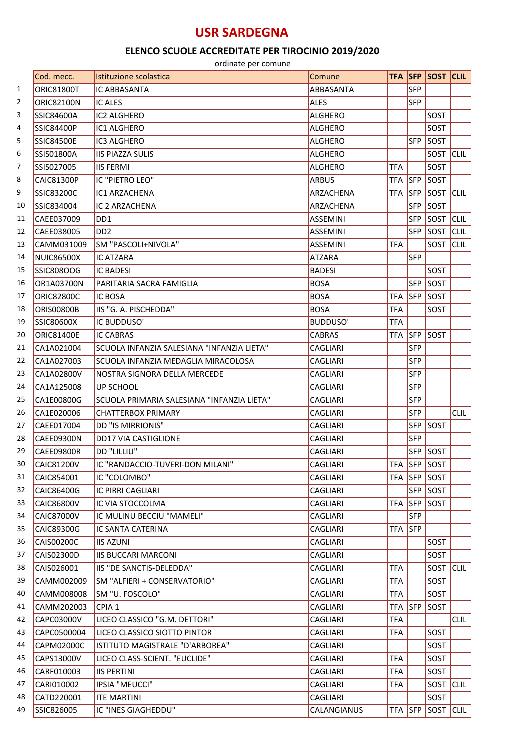## **USR SARDEGNA**

## **ELENCO SCUOLE ACCREDITATE PER TIROCINIO 2019/2020**

ordinate per comune

|    | Cod. mecc.        | Istituzione scolastica                     | Comune          |            |            | <b>TFA SFP SOST CLIL</b> |             |
|----|-------------------|--------------------------------------------|-----------------|------------|------------|--------------------------|-------------|
| 1  | <b>ORIC81800T</b> | IC ABBASANTA                               | ABBASANTA       |            | <b>SFP</b> |                          |             |
| 2  | <b>ORIC82100N</b> | <b>IC ALES</b>                             | <b>ALES</b>     |            | <b>SFP</b> |                          |             |
| 3  | <b>SSIC84600A</b> | <b>IC2 ALGHERO</b>                         | <b>ALGHERO</b>  |            |            | SOST                     |             |
| 4  | <b>SSIC84400P</b> | IC1 ALGHERO                                | <b>ALGHERO</b>  |            |            | SOST                     |             |
| 5  | <b>SSIC84500E</b> | IC3 ALGHERO                                | ALGHERO         |            | <b>SFP</b> | SOST                     |             |
| 6  | <b>SSIS01800A</b> | <b>IIS PIAZZA SULIS</b>                    | <b>ALGHERO</b>  |            |            | SOST CLIL                |             |
| 7  | SSIS027005        | <b>IIS FERMI</b>                           | <b>ALGHERO</b>  | <b>TFA</b> |            | SOST                     |             |
| 8  | <b>CAIC81300P</b> | IC "PIETRO LEO"                            | <b>ARBUS</b>    | <b>TFA</b> | <b>SFP</b> | <b>SOST</b>              |             |
| 9  | SSIC83200C        | IC1 ARZACHENA                              | ARZACHENA       | <b>TFA</b> | SFP        | <b>SOST</b> CLIL         |             |
| 10 | SSIC834004        | IC 2 ARZACHENA                             | ARZACHENA       |            | <b>SFP</b> | SOST                     |             |
| 11 | CAEE037009        | DD1                                        | <b>ASSEMINI</b> |            | <b>SFP</b> | <b>SOST</b>              | <b>CLIL</b> |
| 12 | CAEE038005        | D <sub>D</sub> <sub>2</sub>                | <b>ASSEMINI</b> |            | <b>SFP</b> | SOST                     | <b>CLIL</b> |
| 13 | CAMM031009        | SM "PASCOLI+NIVOLA"                        | <b>ASSEMINI</b> | <b>TFA</b> |            | SOST                     | <b>CLIL</b> |
| 14 | <b>NUIC86500X</b> | IC ATZARA                                  | <b>ATZARA</b>   |            | <b>SFP</b> |                          |             |
| 15 | <b>SSIC808OOG</b> | <b>IC BADESI</b>                           | <b>BADESI</b>   |            |            | SOST                     |             |
| 16 | OR1A03700N        | PARITARIA SACRA FAMIGLIA                   | <b>BOSA</b>     |            | <b>SFP</b> | SOST                     |             |
| 17 | <b>ORIC82800C</b> | <b>IC BOSA</b>                             | <b>BOSA</b>     | <b>TFA</b> | <b>SFP</b> | <b>SOST</b>              |             |
| 18 | <b>ORIS00800B</b> | IIS "G. A. PISCHEDDA"                      | <b>BOSA</b>     | <b>TFA</b> |            | <b>SOST</b>              |             |
| 19 | <b>SSIC80600X</b> | IC BUDDUSO'                                | <b>BUDDUSO'</b> | <b>TFA</b> |            |                          |             |
| 20 | <b>ORIC81400E</b> | <b>IC CABRAS</b>                           | <b>CABRAS</b>   | <b>TFA</b> | <b>SFP</b> | SOST                     |             |
| 21 | CA1A021004        | SCUOLA INFANZIA SALESIANA "INFANZIA LIETA" | <b>CAGLIARI</b> |            | <b>SFP</b> |                          |             |
| 22 | CA1A027003        | SCUOLA INFANZIA MEDAGLIA MIRACOLOSA        | <b>CAGLIARI</b> |            | <b>SFP</b> |                          |             |
| 23 | CA1A02800V        | NOSTRA SIGNORA DELLA MERCEDE               | <b>CAGLIARI</b> |            | <b>SFP</b> |                          |             |
| 24 | CA1A125008        | <b>UP SCHOOL</b>                           | <b>CAGLIARI</b> |            | <b>SFP</b> |                          |             |
| 25 | CA1E00800G        | SCUOLA PRIMARIA SALESIANA "INFANZIA LIETA" | <b>CAGLIARI</b> |            | <b>SFP</b> |                          |             |
| 26 | CA1E020006        | <b>CHATTERBOX PRIMARY</b>                  | <b>CAGLIARI</b> |            | <b>SFP</b> |                          | <b>CLIL</b> |
| 27 | CAEE017004        | <b>DD "IS MIRRIONIS"</b>                   | <b>CAGLIARI</b> |            | <b>SFP</b> | SOST                     |             |
| 28 | <b>CAEE09300N</b> | <b>DD17 VIA CASTIGLIONE</b>                | <b>CAGLIARI</b> |            | <b>SFP</b> |                          |             |
| 29 | CAEE09800R        | DD "LILLIU"                                | <b>CAGLIARI</b> |            | <b>SFP</b> | SOST                     |             |
| 30 | <b>CAIC81200V</b> | IC "RANDACCIO-TUVERI-DON MILANI"           | <b>CAGLIARI</b> | <b>TFA</b> |            | <b>SFP SOST</b>          |             |
| 31 | CAIC854001        | IC "COLOMBO"                               | <b>CAGLIARI</b> | <b>TFA</b> |            | SFP SOST                 |             |
| 32 | CAIC86400G        | IC PIRRI CAGLIARI                          | <b>CAGLIARI</b> |            | <b>SFP</b> | SOST                     |             |
| 33 | CAIC86800V        | IC VIA STOCCOLMA                           | <b>CAGLIARI</b> | <b>TFA</b> | <b>SFP</b> | SOST                     |             |
| 34 | CAIC87000V        | IC MULINU BECCIU "MAMELI"                  | <b>CAGLIARI</b> |            | <b>SFP</b> |                          |             |
| 35 | CAIC89300G        | <b>IC SANTA CATERINA</b>                   | CAGLIARI        | <b>TFA</b> | <b>SFP</b> |                          |             |
| 36 | CAIS00200C        | <b>IIS AZUNI</b>                           | <b>CAGLIARI</b> |            |            | SOST                     |             |
| 37 | CAIS02300D        | <b>IIS BUCCARI MARCONI</b>                 | <b>CAGLIARI</b> |            |            | SOST                     |             |
| 38 | CAIS026001        | IIS "DE SANCTIS-DELEDDA"                   | <b>CAGLIARI</b> | <b>TFA</b> |            | SOST                     | <b>CLIL</b> |
| 39 | CAMM002009        | SM "ALFIERI + CONSERVATORIO"               | <b>CAGLIARI</b> | <b>TFA</b> |            | SOST                     |             |
| 40 | CAMM008008        | SM "U. FOSCOLO"                            | <b>CAGLIARI</b> | <b>TFA</b> |            | <b>SOST</b>              |             |
| 41 | CAMM202003        | CPIA 1                                     | CAGLIARI        | <b>TFA</b> | <b>SFP</b> | SOST                     |             |
| 42 | CAPC03000V        | LICEO CLASSICO "G.M. DETTORI"              | <b>CAGLIARI</b> | <b>TFA</b> |            |                          | <b>CLIL</b> |
| 43 | CAPC0500004       | LICEO CLASSICO SIOTTO PINTOR               | CAGLIARI        | <b>TFA</b> |            | SOST                     |             |
| 44 | CAPM02000C        | ISTITUTO MAGISTRALE "D'ARBOREA"            | <b>CAGLIARI</b> |            |            | SOST                     |             |
| 45 | CAPS13000V        | LICEO CLASS-SCIENT. "EUCLIDE"              | <b>CAGLIARI</b> | <b>TFA</b> |            | SOST                     |             |
| 46 | CARF010003        | <b>IIS PERTINI</b>                         | CAGLIARI        | <b>TFA</b> |            | SOST                     |             |
| 47 | CARI010002        | IPSIA "MEUCCI"                             | <b>CAGLIARI</b> | <b>TFA</b> |            | SOST CLIL                |             |
| 48 | CATD220001        | <b>ITE MARTINI</b>                         | <b>CAGLIARI</b> |            |            | SOST                     |             |
| 49 | SSIC826005        | IC "INES GIAGHEDDU"                        | CALANGIANUS     |            |            | TFA SFP SOST CLIL        |             |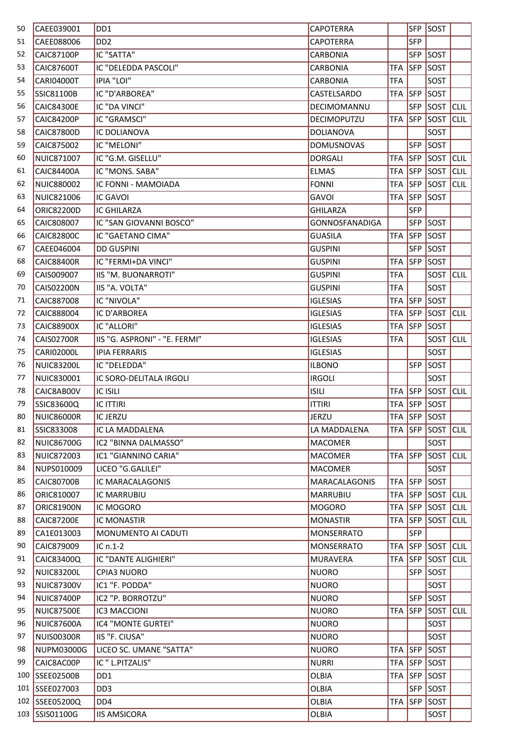| 50  | CAEE039001        | DD1                           | <b>CAPOTERRA</b>      |            | <b>SFP</b> | SOST        |             |
|-----|-------------------|-------------------------------|-----------------------|------------|------------|-------------|-------------|
| 51  | CAEE088006        | DD <sub>2</sub>               | <b>CAPOTERRA</b>      |            | <b>SFP</b> |             |             |
| 52  | <b>CAIC87100P</b> | IC "SATTA"                    | <b>CARBONIA</b>       |            | <b>SFP</b> | SOST        |             |
| 53  | <b>CAIC87600T</b> | IC "DELEDDA PASCOLI"          | <b>CARBONIA</b>       | <b>TFA</b> | <b>SFP</b> | SOST        |             |
| 54  | <b>CARI04000T</b> | <b>IPIA "LOI"</b>             | <b>CARBONIA</b>       | <b>TFA</b> |            | SOST        |             |
| 55  | <b>SSIC81100B</b> | IC "D'ARBOREA"                | CASTELSARDO           | <b>TFA</b> | <b>SFP</b> | SOST        |             |
| 56  | <b>CAIC84300E</b> | IC "DA VINCI"                 | DECIMOMANNU           |            | <b>SFP</b> | SOST        | <b>CLIL</b> |
| 57  | <b>CAIC84200P</b> | IC "GRAMSCI"                  | DECIMOPUTZU           | <b>TFA</b> | <b>SFP</b> | SOST        | <b>CLIL</b> |
| 58  | <b>CAIC87800D</b> | IC DOLIANOVA                  | <b>DOLIANOVA</b>      |            |            | SOST        |             |
| 59  | CAIC875002        | IC "MELONI"                   | <b>DOMUSNOVAS</b>     |            | <b>SFP</b> | SOST        |             |
| 60  | NUIC871007        | IC "G.M. GISELLU"             | <b>DORGALI</b>        | <b>TFA</b> | <b>SFP</b> | SOST        | <b>CLIL</b> |
| 61  | <b>CAIC84400A</b> | IC "MONS. SABA"               | <b>ELMAS</b>          | <b>TFA</b> | SFP        | SOST        | <b>CLIL</b> |
| 62  | NUIC880002        | IC FONNI - MAMOIADA           | <b>FONNI</b>          | <b>TFA</b> | <b>SFP</b> | <b>SOST</b> | <b>CLIL</b> |
| 63  | NUIC821006        | <b>IC GAVOI</b>               | GAVOI                 | <b>TFA</b> | <b>SFP</b> | <b>SOST</b> |             |
| 64  | ORIC82200D        | IC GHILARZA                   | <b>GHILARZA</b>       |            | <b>SFP</b> |             |             |
| 65  | CAIC808007        | IC "SAN GIOVANNI BOSCO"       | <b>GONNOSFANADIGA</b> |            | <b>SFP</b> | SOST        |             |
| 66  | CAIC82800C        | IC "GAETANO CIMA"             | <b>GUASILA</b>        | <b>TFA</b> | <b>SFP</b> | SOST        |             |
| 67  | CAEE046004        | <b>DD GUSPINI</b>             | <b>GUSPINI</b>        |            | <b>SFP</b> | SOST        |             |
| 68  | <b>CAIC88400R</b> | IC "FERMI+DA VINCI"           | <b>GUSPINI</b>        | <b>TFA</b> | <b>SFP</b> | SOST        |             |
| 69  | CAIS009007        | IIS "M. BUONARROTI"           | <b>GUSPINI</b>        | <b>TFA</b> |            | SOST        | <b>CLIL</b> |
| 70  | CAIS02200N        | IIS "A. VOLTA"                | <b>GUSPINI</b>        | <b>TFA</b> |            | SOST        |             |
| 71  | CAIC887008        | IC "NIVOLA"                   | <b>IGLESIAS</b>       | <b>TFA</b> | <b>SFP</b> | SOST        |             |
| 72  | CAIC888004        | IC D'ARBOREA                  | <b>IGLESIAS</b>       | <b>TFA</b> | <b>SFP</b> | SOST        | <b>CLIL</b> |
| 73  | <b>CAIC88900X</b> | IC "ALLORI"                   | <b>IGLESIAS</b>       | <b>TFA</b> | SFP        | SOST        |             |
| 74  | <b>CAIS02700R</b> | IIS "G. ASPRONI" - "E. FERMI" | <b>IGLESIAS</b>       | <b>TFA</b> |            | SOST        | <b>CLIL</b> |
| 75  | <b>CARIO2000L</b> | <b>IPIA FERRARIS</b>          | <b>IGLESIAS</b>       |            |            | SOST        |             |
| 76  | <b>NUIC83200L</b> | IC "DELEDDA"                  | <b>ILBONO</b>         |            | <b>SFP</b> | SOST        |             |
| 77  | NUIC830001        | IC SORO-DELITALA IRGOLI       | <b>IRGOLI</b>         |            |            | SOST        |             |
| 78  | CAIC8AB00V        | <b>IC ISILI</b>               | <b>ISILI</b>          | <b>TFA</b> | <b>SFP</b> | SOST CLIL   |             |
| 79  | SSIC83600Q        | <b>IC ITTIRI</b>              | <b>ITTIRI</b>         | <b>TFA</b> | <b>SFP</b> | <b>SOST</b> |             |
| 80  | <b>NUIC86000R</b> | <b>IC JERZU</b>               | <b>JERZU</b>          | <b>TFA</b> | <b>SFP</b> | SOST        |             |
| 81  | SSIC833008        | IC LA MADDALENA               | LA MADDALENA          | <b>TFA</b> | <b>SFP</b> | SOST        | <b>CLIL</b> |
| 82  | <b>NUIC86700G</b> | IC2 "BINNA DALMASSO"          | <b>MACOMER</b>        |            |            | SOST        |             |
| 83  | <b>NUIC872003</b> | IC1 "GIANNINO CARIA"          | <b>MACOMER</b>        | <b>TFA</b> | <b>SFP</b> | <b>SOST</b> | <b>CLIL</b> |
| 84  | NUPS010009        | LICEO "G.GALILEI"             | <b>MACOMER</b>        |            |            | SOST        |             |
| 85  | <b>CAIC80700B</b> | IC MARACALAGONIS              | <b>MARACALAGONIS</b>  | <b>TFA</b> | SFP        | SOST        |             |
| 86  | ORIC810007        | IC MARRUBIU                   | <b>MARRUBIU</b>       | <b>TFA</b> | <b>SFP</b> | SOST        | <b>CLIL</b> |
| 87  | <b>ORIC81900N</b> | IC MOGORO                     | <b>MOGORO</b>         | <b>TFA</b> | <b>SFP</b> | <b>SOST</b> | <b>CLIL</b> |
| 88  | <b>CAIC87200E</b> | IC MONASTIR                   | <b>MONASTIR</b>       | <b>TFA</b> | <b>SFP</b> | SOST        | <b>CLIL</b> |
| 89  | CA1E013003        | MONUMENTO AI CADUTI           | MONSERRATO            |            | <b>SFP</b> |             |             |
| 90  | CAIC879009        | $ICn.1-2$                     | MONSERRATO            | <b>TFA</b> | <b>SFP</b> | SOST CLIL   |             |
| 91  | CAIC83400Q        | IC "DANTE ALIGHIERI"          | <b>MURAVERA</b>       | <b>TFA</b> | <b>SFP</b> | SOST        | <b>CLIL</b> |
| 92  | <b>NUIC83200L</b> | CPIA3 NUORO                   | <b>NUORO</b>          |            | <b>SFP</b> | <b>SOST</b> |             |
| 93  | <b>NUIC87300V</b> | IC1 "F. PODDA"                | <b>NUORO</b>          |            |            | SOST        |             |
| 94  | NUIC87400P        | IC2 "P. BORROTZU"             | <b>NUORO</b>          |            | <b>SFP</b> | SOST        |             |
| 95  | <b>NUIC87500E</b> | IC3 MACCIONI                  | <b>NUORO</b>          | <b>TFA</b> | <b>SFP</b> | SOST        | <b>CLIL</b> |
| 96  | NUIC87600A        | IC4 "MONTE GURTEI"            | <b>NUORO</b>          |            |            | SOST        |             |
| 97  | NUIS00300R        | IIS "F. CIUSA"                | <b>NUORO</b>          |            |            | SOST        |             |
| 98  | NUPM03000G        | LICEO SC. UMANE "SATTA"       | <b>NUORO</b>          | <b>TFA</b> | <b>SFP</b> | SOST        |             |
| 99  | CAIC8AC00P        | IC " L.PITZALIS"              | <b>NURRI</b>          | <b>TFA</b> | <b>SFP</b> | SOST        |             |
| 100 | SSEE02500B        | DD1                           | <b>OLBIA</b>          | <b>TFA</b> | <b>SFP</b> | <b>SOST</b> |             |
| 101 | SSEE027003        | DD <sub>3</sub>               | <b>OLBIA</b>          |            | <b>SFP</b> | <b>SOST</b> |             |
|     | 102 SSEE05200Q    | DD4                           | <b>OLBIA</b>          | <b>TFA</b> | <b>SFP</b> | SOST        |             |
|     | 103 SSIS01100G    | <b>IIS AMSICORA</b>           | OLBIA                 |            |            | SOST        |             |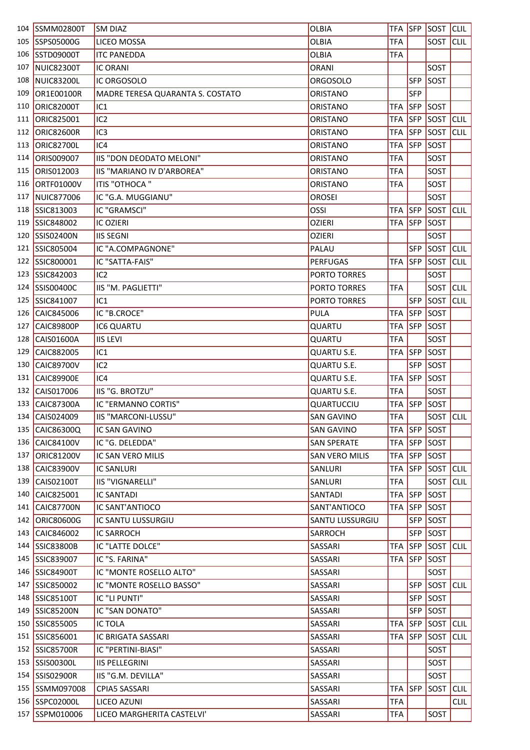| 104 | <b>SSMM02800T</b> | <b>SM DIAZ</b>                   | <b>OLBIA</b>          | <b>TFA</b> | <b>SFP</b> | SOST        | <b>CLIL</b> |
|-----|-------------------|----------------------------------|-----------------------|------------|------------|-------------|-------------|
| 105 | SSPS05000G        | LICEO MOSSA                      | <b>OLBIA</b>          | <b>TFA</b> |            | SOST        | <b>CLIL</b> |
| 106 | <b>SSTD09000T</b> | <b>ITC PANEDDA</b>               | OLBIA                 | <b>TFA</b> |            |             |             |
| 107 | <b>NUIC82300T</b> | <b>IC ORANI</b>                  | <b>ORANI</b>          |            |            | SOST        |             |
| 108 | <b>NUIC83200L</b> | IC ORGOSOLO                      | <b>ORGOSOLO</b>       |            | <b>SFP</b> | <b>SOST</b> |             |
| 109 | OR1E00100R        | MADRE TERESA QUARANTA S. COSTATO | ORISTANO              |            | <b>SFP</b> |             |             |
| 110 | <b>ORIC82000T</b> | IC <sub>1</sub>                  | ORISTANO              | <b>TFA</b> | <b>SFP</b> | SOST        |             |
| 111 | ORIC825001        | IC <sub>2</sub>                  | ORISTANO              | <b>TFA</b> | <b>SFP</b> | SOST        | <b>CLIL</b> |
| 112 | <b>ORIC82600R</b> | IC <sub>3</sub>                  | <b>ORISTANO</b>       | <b>TFA</b> | <b>SFP</b> | SOST        | <b>CLIL</b> |
| 113 | <b>ORIC82700L</b> | IC4                              | ORISTANO              | <b>TFA</b> | SFP        | SOST        |             |
| 114 | ORIS009007        | IIS "DON DEODATO MELONI"         | ORISTANO              | <b>TFA</b> |            | SOST        |             |
| 115 | ORIS012003        | IIS "MARIANO IV D'ARBOREA"       | <b>ORISTANO</b>       | <b>TFA</b> |            | SOST        |             |
| 116 | ORTF01000V        | ITIS "OTHOCA"                    | ORISTANO              | <b>TFA</b> |            | SOST        |             |
| 117 | <b>NUIC877006</b> | IC "G.A. MUGGIANU"               | <b>OROSEI</b>         |            |            | SOST        |             |
| 118 | SSIC813003        | IC "GRAMSCI"                     | OSSI                  | <b>TFA</b> | SFP        | SOST        | <b>CLIL</b> |
| 119 | SSIC848002        | <b>IC OZIERI</b>                 | <b>OZIERI</b>         | <b>TFA</b> | <b>SFP</b> | SOST        |             |
| 120 | SSIS02400N        | <b>IIS SEGNI</b>                 | <b>OZIERI</b>         |            |            | SOST        |             |
| 121 | SSIC805004        | IC "A.COMPAGNONE"                | PALAU                 |            | <b>SFP</b> | <b>SOST</b> | <b>CLIL</b> |
| 122 | SSIC800001        | IC "SATTA-FAIS"                  | <b>PERFUGAS</b>       | <b>TFA</b> | <b>SFP</b> | SOST        | <b>CLIL</b> |
| 123 | SSIC842003        | IC <sub>2</sub>                  | PORTO TORRES          |            |            | SOST        |             |
| 124 | SSIS00400C        | IIS "M. PAGLIETTI"               | PORTO TORRES          | <b>TFA</b> |            | SOST        | <b>CLIL</b> |
| 125 | SSIC841007        | IC <sub>1</sub>                  | PORTO TORRES          |            | <b>SFP</b> | <b>SOST</b> | <b>CLIL</b> |
| 126 | CAIC845006        | IC "B.CROCE"                     | PULA                  | <b>TFA</b> | <b>SFP</b> | <b>SOST</b> |             |
| 127 | <b>CAIC89800P</b> | IC6 QUARTU                       | QUARTU                | <b>TFA</b> | SFP        | SOST        |             |
| 128 | CAIS01600A        | <b>IIS LEVI</b>                  | QUARTU                | <b>TFA</b> |            | SOST        |             |
| 129 | CAIC882005        | IC <sub>1</sub>                  | QUARTU S.E.           | <b>TFA</b> | <b>SFP</b> | SOST        |             |
| 130 | CAIC89700V        | IC <sub>2</sub>                  | QUARTU S.E.           |            | <b>SFP</b> | SOST        |             |
| 131 | <b>CAIC89900E</b> | IC4                              | <b>QUARTU S.E.</b>    | <b>TFA</b> | <b>SFP</b> | SOST        |             |
| 132 | CAIS017006        | IIS "G. BROTZU"                  | QUARTU S.E.           | <b>TFA</b> |            | SOST        |             |
| 133 | <b>CAIC87300A</b> | IC "ERMANNO CORTIS"              | QUARTUCCIU            | <b>TFA</b> | <b>SFP</b> | SOST        |             |
| 134 | CAIS024009        | IIS "MARCONI-LUSSU"              | <b>SAN GAVINO</b>     | <b>TFA</b> |            | SOST CLIL   |             |
|     | 135 CAIC86300Q    | IC SAN GAVINO                    | <b>SAN GAVINO</b>     | <b>TFA</b> | <b>SFP</b> | <b>SOST</b> |             |
| 136 | CAIC84100V        | IC "G. DELEDDA"                  | <b>SAN SPERATE</b>    | <b>TFA</b> | <b>SFP</b> | SOST        |             |
| 137 | ORIC81200V        | IC SAN VERO MILIS                | <b>SAN VERO MILIS</b> | TFA        | <b>SFP</b> | <b>SOST</b> |             |
| 138 | CAIC83900V        | <b>IC SANLURI</b>                | SANLURI               | <b>TFA</b> | <b>SFP</b> | SOST        | <b>CLIL</b> |
|     | 139 CAIS02100T    | <b>IIS "VIGNARELLI"</b>          | SANLURI               | <b>TFA</b> |            | SOST        | <b>CLIL</b> |
| 140 | CAIC825001        | <b>IC SANTADI</b>                | SANTADI               | <b>TFA</b> | <b>SFP</b> | <b>SOST</b> |             |
| 141 | <b>CAIC87700N</b> | IC SANT'ANTIOCO                  | SANT'ANTIOCO          | <b>TFA</b> | <b>SFP</b> | <b>SOST</b> |             |
| 142 | ORIC80600G        | IC SANTU LUSSURGIU               | SANTU LUSSURGIU       |            | <b>SFP</b> | <b>SOST</b> |             |
| 143 | CAIC846002        | <b>IC SARROCH</b>                | SARROCH               |            | <b>SFP</b> | SOST        |             |
|     | 144 SSIC83800B    | IC "LATTE DOLCE"                 | SASSARI               | <b>TFA</b> | <b>SFP</b> | SOST CLIL   |             |
|     | 145 SSIC839007    | IC "S. FARINA"                   | SASSARI               | <b>TFA</b> | <b>SFP</b> | <b>SOST</b> |             |
|     | 146 SSIC84900T    | IC "MONTE ROSELLO ALTO"          | SASSARI               |            |            | SOST        |             |
|     | 147 SSIC850002    | IC "MONTE ROSELLO BASSO"         | SASSARI               |            | <b>SFP</b> | SOST        | <b>CLIL</b> |
|     | 148 SSIC85100T    | IC "LI PUNTI"                    | SASSARI               |            | <b>SFP</b> | SOST        |             |
|     | 149 SSIC85200N    | IC "SAN DONATO"                  | SASSARI               |            | <b>SFP</b> | <b>SOST</b> |             |
|     | 150 SSIC855005    | <b>IC TOLA</b>                   | SASSARI               | <b>TFA</b> | <b>SFP</b> | SOST        | <b>CLIL</b> |
|     | 151 SSIC856001    | IC BRIGATA SASSARI               | SASSARI               | <b>TFA</b> | <b>SFP</b> | <b>SOST</b> | <b>CLIL</b> |
| 152 | <b>SSIC85700R</b> | IC "PERTINI-BIASI"               | SASSARI               |            |            | SOST        |             |
|     | 153 SSIS00300L    | <b>IIS PELLEGRINI</b>            | SASSARI               |            |            | SOST        |             |
|     | 154 SSIS02900R    | IIS "G.M. DEVILLA"               | SASSARI               |            |            | SOST        |             |
|     | 155 SSMM097008    | CPIA5 SASSARI                    | SASSARI               | <b>TFA</b> | <b>SFP</b> | SOST        | <b>CLIL</b> |
|     | 156 SSPC02000L    | LICEO AZUNI                      | SASSARI               | <b>TFA</b> |            |             | <b>CLIL</b> |
|     | 157 SSPM010006    | LICEO MARGHERITA CASTELVI'       | SASSARI               | <b>TFA</b> |            | SOST        |             |